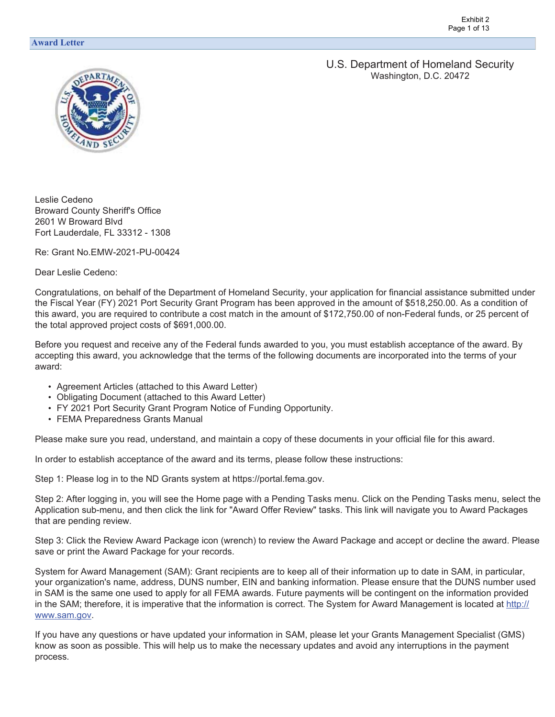U.S. Department of Homeland Security Washington, D.C. 20472



Leslie Cedeno Broward County Sheriff's Office 2601 W Broward Blvd Fort Lauderdale, FL 33312 - 1308

Re: Grant No.EMW-2021-PU-00424

Dear Leslie Cedeno:

Congratulations, on behalf of the Department of Homeland Security, your application for financial assistance submitted under the Fiscal Year (FY) 2021 Port Security Grant Program has been approved in the amount of \$[518,250.00.](https://518,250.00) As a condition of this award, you are required to contribute a cost match in the amount of \$[172,750.00](https://172,750.00) of non-Federal funds, or 25 percent of the total approved project costs of [\\$691,000.00](https://691,000.00).

Before you request and receive any of the Federal funds awarded to you, you must establish acceptance of the award. By accepting this award, you acknowledge that the terms of the following documents are incorporated into the terms of your award:

- Agreement Articles (attached to this Award Letter)
- Obligating Document (attached to this Award Letter)
- FY 2021 Port Security Grant Program Notice of Funding Opportunity.
- FEMA Preparedness Grants Manual

Please make sure you read, understand, and maintain a copy of these documents in your official file for this award.

In order to establish acceptance of the award and its terms, please follow these instructions:

Step 1: Please log in to the ND Grants system at <https://portal.fema.gov>.

Step 2: After logging in, you will see the Home page with a Pending Tasks menu. Click on the Pending Tasks menu, select the Application sub-menu, and then click the link for "Award Offer Review" tasks. This link will navigate you to Award Packages that are pending review.

Step 3: Click the Review Award Package icon (wrench) to review the Award Package and accept or decline the award. Please save or print the Award Package for your records.

System for Award Management (SAM): Grant recipients are to keep all of their information up to date in SAM, in particular, your organization's name, address, DUNS number, EIN and banking information. Please ensure that the DUNS number used in SAM is the same one used to apply for all FEMA awards. Future payments will be contingent on the information provided in the SAM; therefore, it is imperative that the information is correct. The System for Award Management is located at http:// [www.sam.gov.](www.sam.gov)

If you have any questions or have updated your information in SAM, please let your Grants Management Specialist (GMS) know as soon as possible. This will help us to make the necessary updates and avoid any interruptions in the payment process.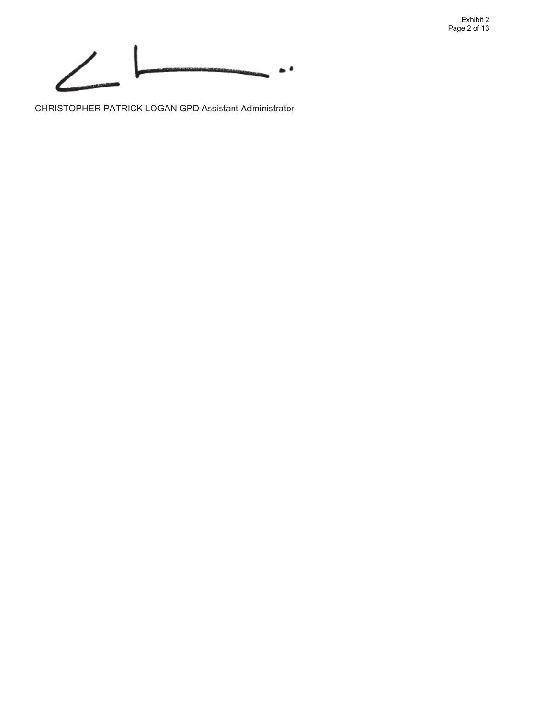Exhibit 2 Page 2 of 13



CHRISTOPHER PATRICK LOGAN GPD Assistant Administrator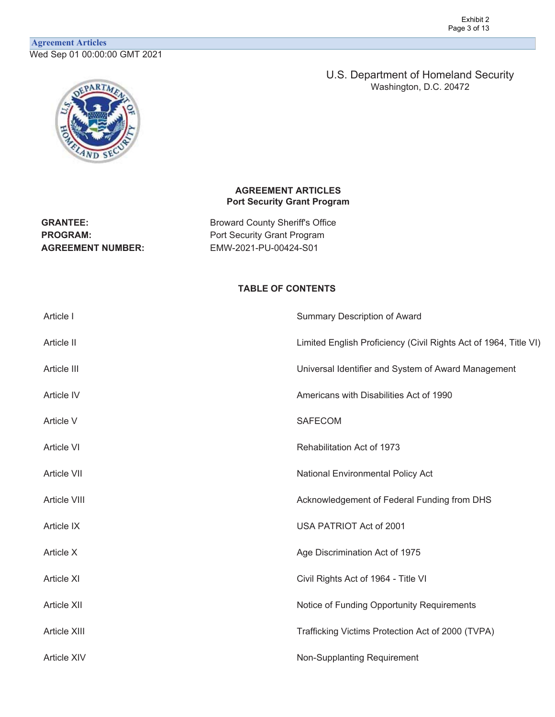# **Agreement Articles** Wed Sep 01 00:00:00 GMT 2021



U.S. Department of Homeland Security Washington, D.C. 20472

### **AGREEMENT ARTICLES Port Security Grant Program**

GRANTEE: **Broward County Sheriff's Office PROGRAM:** Port Security Grant Program **AGREEMENT NUMBER:** EMW-2021-PU-00424-S01

# **TABLE OF CONTENTS**

| Article I          | <b>Summary Description of Award</b>                              |
|--------------------|------------------------------------------------------------------|
| Article II         | Limited English Proficiency (Civil Rights Act of 1964, Title VI) |
| Article III        | Universal Identifier and System of Award Management              |
| Article IV         | Americans with Disabilities Act of 1990                          |
| Article V          | <b>SAFECOM</b>                                                   |
| Article VI         | Rehabilitation Act of 1973                                       |
| Article VII        | National Environmental Policy Act                                |
| Article VIII       | Acknowledgement of Federal Funding from DHS                      |
| Article IX         | USA PATRIOT Act of 2001                                          |
| Article X          | Age Discrimination Act of 1975                                   |
| <b>Article XI</b>  | Civil Rights Act of 1964 - Title VI                              |
| Article XII        | Notice of Funding Opportunity Requirements                       |
| Article XIII       | Trafficking Victims Protection Act of 2000 (TVPA)                |
| <b>Article XIV</b> | Non-Supplanting Requirement                                      |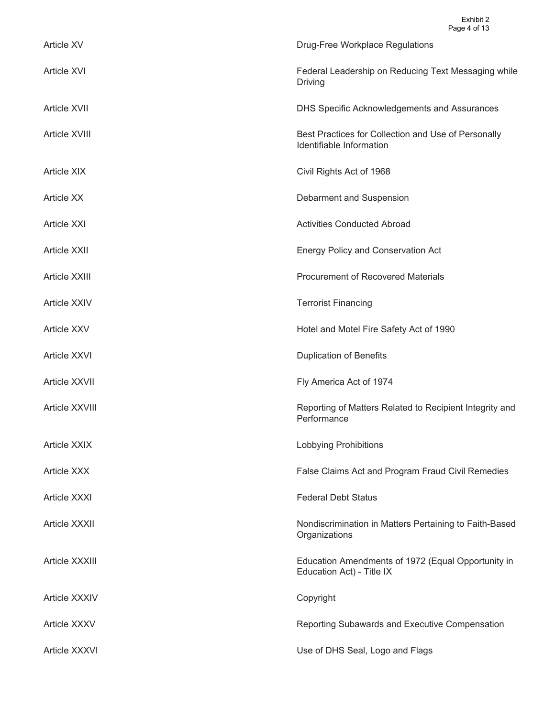| Article XV           | Drug-Free Workplace Regulations                                                 |
|----------------------|---------------------------------------------------------------------------------|
| <b>Article XVI</b>   | Federal Leadership on Reducing Text Messaging while<br><b>Driving</b>           |
| <b>Article XVII</b>  | DHS Specific Acknowledgements and Assurances                                    |
| Article XVIII        | Best Practices for Collection and Use of Personally<br>Identifiable Information |
| <b>Article XIX</b>   | Civil Rights Act of 1968                                                        |
| <b>Article XX</b>    | Debarment and Suspension                                                        |
| <b>Article XXI</b>   | <b>Activities Conducted Abroad</b>                                              |
| <b>Article XXII</b>  | <b>Energy Policy and Conservation Act</b>                                       |
| Article XXIII        | <b>Procurement of Recovered Materials</b>                                       |
| <b>Article XXIV</b>  | <b>Terrorist Financing</b>                                                      |
| <b>Article XXV</b>   | Hotel and Motel Fire Safety Act of 1990                                         |
| Article XXVI         | <b>Duplication of Benefits</b>                                                  |
| Article XXVII        | Fly America Act of 1974                                                         |
| Article XXVIII       | Reporting of Matters Related to Recipient Integrity and<br>Performance          |
| <b>Article XXIX</b>  | <b>Lobbying Prohibitions</b>                                                    |
| <b>Article XXX</b>   | False Claims Act and Program Fraud Civil Remedies                               |
| <b>Article XXXI</b>  | <b>Federal Debt Status</b>                                                      |
| <b>Article XXXII</b> | Nondiscrimination in Matters Pertaining to Faith-Based<br>Organizations         |
| Article XXXIII       | Education Amendments of 1972 (Equal Opportunity in<br>Education Act) - Title IX |
| Article XXXIV        | Copyright                                                                       |
| <b>Article XXXV</b>  | Reporting Subawards and Executive Compensation                                  |
| Article XXXVI        | Use of DHS Seal, Logo and Flags                                                 |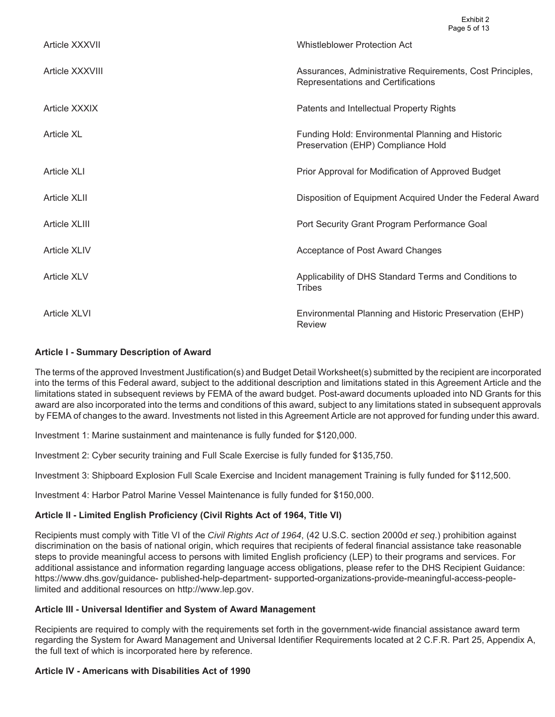| Article XXXVII      | <b>Whistleblower Protection Act</b>                                                             |
|---------------------|-------------------------------------------------------------------------------------------------|
| Article XXXVIII     | Assurances, Administrative Requirements, Cost Principles,<br>Representations and Certifications |
| Article XXXIX       | Patents and Intellectual Property Rights                                                        |
| <b>Article XL</b>   | Funding Hold: Environmental Planning and Historic<br>Preservation (EHP) Compliance Hold         |
| <b>Article XLI</b>  | Prior Approval for Modification of Approved Budget                                              |
| Article XLII        | Disposition of Equipment Acquired Under the Federal Award                                       |
| Article XLIII       | Port Security Grant Program Performance Goal                                                    |
| <b>Article XLIV</b> | Acceptance of Post Award Changes                                                                |
| <b>Article XLV</b>  | Applicability of DHS Standard Terms and Conditions to<br><b>Tribes</b>                          |
| Article XLVI        | Environmental Planning and Historic Preservation (EHP)<br>Review                                |

#### **Article I - Summary Description of Award**

The terms of the approved Investment Justification(s) and Budget Detail Worksheet(s) submitted by the recipient are incorporated into the terms of this Federal award, subject to the additional description and limitations stated in this Agreement Article and the limitations stated in subsequent reviews by FEMA of the award budget. Post-award documents uploaded into ND Grants for this award are also incorporated into the terms and conditions of this award, subject to any limitations stated in subsequent approvals by FEMA of changes to the award. Investments not listed in this Agreement Article are not approved for funding under this award.

Investment 1: Marine sustainment and maintenance is fully funded for \$120,000.

Investment 2: Cyber security training and Full Scale Exercise is fully funded for \$135,750.

Investment 3: Shipboard Explosion Full Scale Exercise and Incident management Training is fully funded for \$112,500.

Investment 4: Harbor Patrol Marine Vessel Maintenance is fully funded for \$150,000.

### **Article II - Limited English Proficiency (Civil Rights Act of 1964, Title VI)**

Recipients must comply with Title VI of the *Civil Rights Act of 1964*, (42 U.S.C. section 2000d *et seq*.) prohibition against discrimination on the basis of national origin, which requires that recipients of federal financial assistance take reasonable steps to provide meaningful access to persons with limited English proficiency (LEP) to their programs and services. For additional assistance and information regarding language access obligations, please refer to the DHS Recipient Guidance: <https://www.dhs.gov/guidance>- published-help-department- supported-organizations-provide-meaningful-access-peoplelimited and additional resources on [http://www.lep.gov.](http://www.lep.gov)

#### **Article III - Universal Identifier and System of Award Management**

Recipients are required to comply with the requirements set forth in the government-wide financial assistance award term regarding the System for Award Management and Universal Identifier Requirements located at 2 C.F.R. Part 25, Appendix A, the full text of which is incorporated here by reference.

### **Article IV - Americans with Disabilities Act of 1990**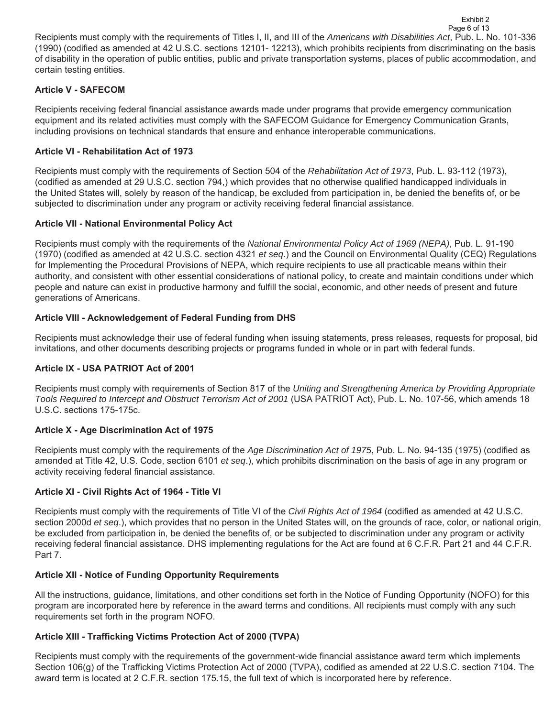Recipients must comply with the requirements of Titles I, II, and III of the *Americans with Disabilities Act*, Pub. L. No. 101-336 (1990) (codified as amended at 42 U.S.C. sections 12101- 12213), which prohibits recipients from discriminating on the basis of disability in the operation of public entities, public and private transportation systems, places of public accommodation, and certain testing entities. Page 6 of 13

Exhibit 2

## **Article V - SAFECOM**

Recipients receiving federal financial assistance awards made under programs that provide emergency communication equipment and its related activities must comply with the SAFECOM Guidance for Emergency Communication Grants, including provisions on technical standards that ensure and enhance interoperable communications.

### **Article VI - Rehabilitation Act of 1973**

Recipients must comply with the requirements of Section 504 of the *Rehabilitation Act of 1973*, Pub. L. 93-112 (1973), (codified as amended at 29 U.S.C. section 794,) which provides that no otherwise qualified handicapped individuals in the United States will, solely by reason of the handicap, be excluded from participation in, be denied the benefits of, or be subjected to discrimination under any program or activity receiving federal financial assistance.

### **Article VII - National Environmental Policy Act**

Recipients must comply with the requirements of the *National Environmental Policy Act of 1969 (NEPA)*, Pub. L. 91-190 (1970) (codified as amended at 42 U.S.C. section 4321 *et seq*.) and the Council on Environmental Quality (CEQ) Regulations for Implementing the Procedural Provisions of NEPA, which require recipients to use all practicable means within their authority, and consistent with other essential considerations of national policy, to create and maintain conditions under which people and nature can exist in productive harmony and fulfill the social, economic, and other needs of present and future generations of Americans.

### **Article VIII - Acknowledgement of Federal Funding from DHS**

Recipients must acknowledge their use of federal funding when issuing statements, press releases, requests for proposal, bid invitations, and other documents describing projects or programs funded in whole or in part with federal funds.

### **Article IX - USA PATRIOT Act of 2001**

Recipients must comply with requirements of Section 817 of the *Uniting and Strengthening America by Providing Appropriate Tools Required to Intercept and Obstruct Terrorism Act of 2001* (USA PATRIOT Act), Pub. L. No. 107-56, which amends 18 U.S.C. sections 175-175c.

### **Article X - Age Discrimination Act of 1975**

Recipients must comply with the requirements of the *Age Discrimination Act of 1975*, Pub. L. No. 94-135 (1975) (codified as amended at Title 42, U.S. Code, section 6101 *et seq*.), which prohibits discrimination on the basis of age in any program or activity receiving federal financial assistance.

### **Article XI - Civil Rights Act of 1964 - Title VI**

Recipients must comply with the requirements of Title VI of the *Civil Rights Act of 1964* (codified as amended at 42 U.S.C. section 2000d *et seq*.), which provides that no person in the United States will, on the grounds of race, color, or national origin, be excluded from participation in, be denied the benefits of, or be subjected to discrimination under any program or activity receiving federal financial assistance. DHS implementing regulations for the Act are found at 6 C.F.R. Part 21 and 44 C.F.R. Part 7.

### **Article XII - Notice of Funding Opportunity Requirements**

All the instructions, guidance, limitations, and other conditions set forth in the Notice of Funding Opportunity (NOFO) for this program are incorporated here by reference in the award terms and conditions. All recipients must comply with any such requirements set forth in the program NOFO.

#### **Article XIII - Trafficking Victims Protection Act of 2000 (TVPA)**

Recipients must comply with the requirements of the government-wide financial assistance award term which implements Section 106(g) of the Trafficking Victims Protection Act of 2000 (TVPA), codified as amended at 22 U.S.C. section 7104. The award term is located at 2 C.F.R. section 175.15, the full text of which is incorporated here by reference.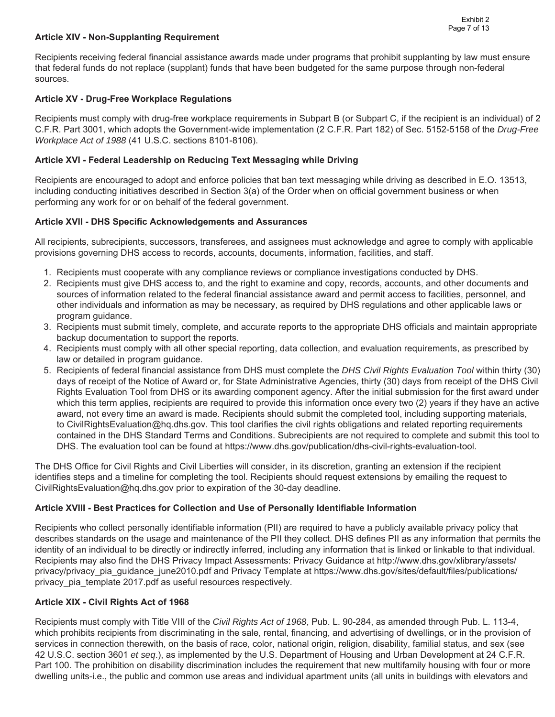## **Article XIV - Non-Supplanting Requirement**

Recipients receiving federal financial assistance awards made under programs that prohibit supplanting by law must ensure that federal funds do not replace (supplant) funds that have been budgeted for the same purpose through non-federal sources.

## **Article XV - Drug-Free Workplace Regulations**

Recipients must comply with drug-free workplace requirements in Subpart B (or Subpart C, if the recipient is an individual) of 2 C.F.R. Part 3001, which adopts the Government-wide implementation (2 C.F.R. Part 182) of Sec. 5152-5158 of the *Drug-Free Workplace Act of 1988* (41 U.S.C. sections 8101-8106).

## **Article XVI - Federal Leadership on Reducing Text Messaging while Driving**

Recipients are encouraged to adopt and enforce policies that ban text messaging while driving as described in E.O. 13513, including conducting initiatives described in Section 3(a) of the Order when on official government business or when performing any work for or on behalf of the federal government.

## **Article XVII - DHS Specific Acknowledgements and Assurances**

All recipients, subrecipients, successors, transferees, and assignees must acknowledge and agree to comply with applicable provisions governing DHS access to records, accounts, documents, information, facilities, and staff.

- 1. Recipients must cooperate with any compliance reviews or compliance investigations conducted by DHS.
- 2. Recipients must give DHS access to, and the right to examine and copy, records, accounts, and other documents and sources of information related to the federal financial assistance award and permit access to facilities, personnel, and other individuals and information as may be necessary, as required by DHS regulations and other applicable laws or program guidance.
- 3. Recipients must submit timely, complete, and accurate reports to the appropriate DHS officials and maintain appropriate backup documentation to support the reports.
- 4. Recipients must comply with all other special reporting, data collection, and evaluation requirements, as prescribed by law or detailed in program guidance.
- 5. Recipients of federal financial assistance from DHS must complete the *DHS Civil Rights Evaluation Tool* within thirty (30) days of receipt of the Notice of Award or, for State Administrative Agencies, thirty (30) days from receipt of the DHS Civil Rights Evaluation Tool from DHS or its awarding component agency. After the initial submission for the first award under which this term applies, recipients are required to provide this information once every two (2) years if they have an active award, not every time an award is made. Recipients should submit the completed tool, including supporting materials, to [CivilRightsEvaluation@hq.dhs.gov.](mailto:CivilRightsEvaluation@hq.dhs.gov) This tool clarifies the civil rights obligations and related reporting requirements contained in the DHS Standard Terms and Conditions. Subrecipients are not required to complete and submit this tool to DHS. The evaluation tool can be found at<https://www.dhs.gov/publication/dhs-civil-rights-evaluation-tool>.

The DHS Office for Civil Rights and Civil Liberties will consider, in its discretion, granting an extension if the recipient identifies steps and a timeline for completing the tool. Recipients should request extensions by emailing the request to [CivilRightsEvaluation@hq.dhs.gov](mailto:CivilRightsEvaluation@hq.dhs.gov) prior to expiration of the 30-day deadline.

### **Article XVIII - Best Practices for Collection and Use of Personally Identifiable Information**

Recipients who collect personally identifiable information (PII) are required to have a publicly available privacy policy that describes standards on the usage and maintenance of the PII they collect. DHS defines PII as any information that permits the identity of an individual to be directly or indirectly inferred, including any information that is linked or linkable to that individual. Recipients may also find the DHS Privacy Impact Assessments: Privacy Guidance at <http://www.dhs.gov/xlibrary/assets>/ privacy/privacy pia\_guidance\_june2010.pdf and Privacy Template at <https://www.dhs.gov/sites/default/files/publications>/ privacy\_pia\_template 2017.pdf as useful resources respectively.

### **Article XIX - Civil Rights Act of 1968**

Recipients must comply with Title VIII of the *Civil Rights Act of 1968*, Pub. L. 90-284, as amended through Pub. L. 113-4, which prohibits recipients from discriminating in the sale, rental, financing, and advertising of dwellings, or in the provision of services in connection therewith, on the basis of race, color, national origin, religion, disability, familial status, and sex (see 42 U.S.C. section 3601 *et seq*.), as implemented by the U.S. Department of Housing and Urban Development at 24 C.F.R. Part 100. The prohibition on disability discrimination includes the requirement that new multifamily housing with four or more dwelling units-i.e., the public and common use areas and individual apartment units (all units in buildings with elevators and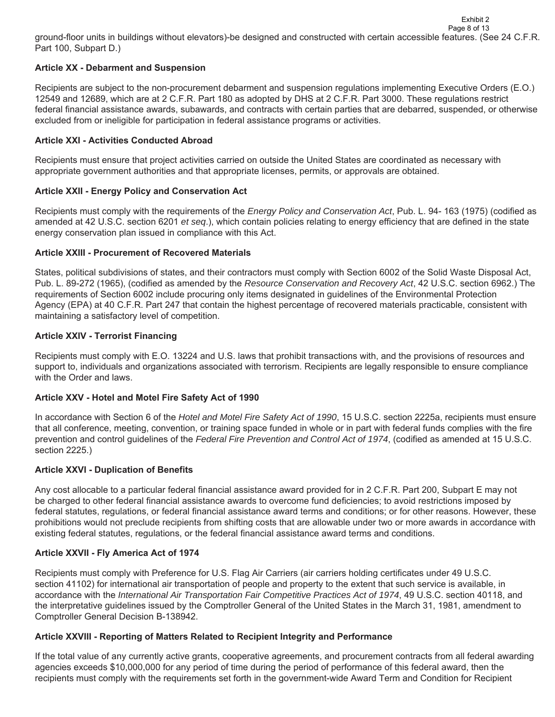ground-floor units in buildings without elevators)-be designed and constructed with certain accessible features. (See 24 C.F.R. Part 100, Subpart D.) Page 8 of 13

Exhibit 2

### **Article XX - Debarment and Suspension**

Recipients are subject to the non-procurement debarment and suspension regulations implementing Executive Orders (E.O.) 12549 and 12689, which are at 2 C.F.R. Part 180 as adopted by DHS at 2 C.F.R. Part 3000. These regulations restrict federal financial assistance awards, subawards, and contracts with certain parties that are debarred, suspended, or otherwise excluded from or ineligible for participation in federal assistance programs or activities.

## **Article XXI - Activities Conducted Abroad**

Recipients must ensure that project activities carried on outside the United States are coordinated as necessary with appropriate government authorities and that appropriate licenses, permits, or approvals are obtained.

## **Article XXII - Energy Policy and Conservation Act**

Recipients must comply with the requirements of the *Energy Policy and Conservation Act*, Pub. L. 94- 163 (1975) (codified as amended at 42 U.S.C. section 6201 *et seq*.), which contain policies relating to energy efficiency that are defined in the state energy conservation plan issued in compliance with this Act.

### **Article XXIII - Procurement of Recovered Materials**

States, political subdivisions of states, and their contractors must comply with Section 6002 of the Solid Waste Disposal Act, Pub. L. 89-272 (1965), (codified as amended by the *Resource Conservation and Recovery Act*, 42 U.S.C. section 6962.) The requirements of Section 6002 include procuring only items designated in guidelines of the Environmental Protection Agency (EPA) at 40 C.F.R. Part 247 that contain the highest percentage of recovered materials practicable, consistent with maintaining a satisfactory level of competition.

## **Article XXIV - Terrorist Financing**

Recipients must comply with E.O. 13224 and U.S. laws that prohibit transactions with, and the provisions of resources and support to, individuals and organizations associated with terrorism. Recipients are legally responsible to ensure compliance with the Order and laws.

### **Article XXV - Hotel and Motel Fire Safety Act of 1990**

In accordance with Section 6 of the *Hotel and Motel Fire Safety Act of 1990*, 15 U.S.C. section 2225a, recipients must ensure that all conference, meeting, convention, or training space funded in whole or in part with federal funds complies with the fire prevention and control guidelines of the *Federal Fire Prevention and Control Act of 1974*, (codified as amended at 15 U.S.C. section 2225.)

# **Article XXVI - Duplication of Benefits**

Any cost allocable to a particular federal financial assistance award provided for in 2 C.F.R. Part 200, Subpart E may not be charged to other federal financial assistance awards to overcome fund deficiencies; to avoid restrictions imposed by federal statutes, regulations, or federal financial assistance award terms and conditions; or for other reasons. However, these prohibitions would not preclude recipients from shifting costs that are allowable under two or more awards in accordance with existing federal statutes, regulations, or the federal financial assistance award terms and conditions.

# **Article XXVII - Fly America Act of 1974**

Recipients must comply with Preference for U.S. Flag Air Carriers (air carriers holding certificates under 49 U.S.C. section 41102) for international air transportation of people and property to the extent that such service is available, in accordance with the *International Air Transportation Fair Competitive Practices Act of 1974*, 49 U.S.C. section 40118, and the interpretative guidelines issued by the Comptroller General of the United States in the March 31, 1981, amendment to Comptroller General Decision B-138942.

### **Article XXVIII - Reporting of Matters Related to Recipient Integrity and Performance**

If the total value of any currently active grants, cooperative agreements, and procurement contracts from all federal awarding agencies exceeds \$10,000,000 for any period of time during the period of performance of this federal award, then the recipients must comply with the requirements set forth in the government-wide Award Term and Condition for Recipient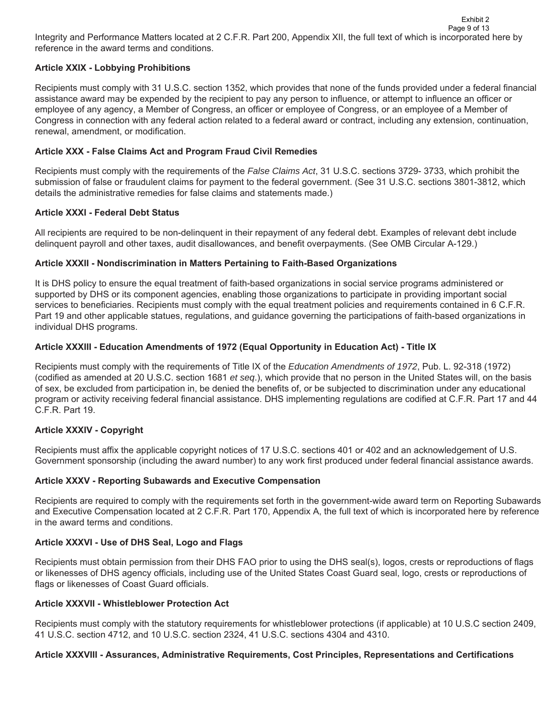## **Article XXIX - Lobbying Prohibitions**

Recipients must comply with 31 U.S.C. section 1352, which provides that none of the funds provided under a federal financial assistance award may be expended by the recipient to pay any person to influence, or attempt to influence an officer or employee of any agency, a Member of Congress, an officer or employee of Congress, or an employee of a Member of Congress in connection with any federal action related to a federal award or contract, including any extension, continuation, renewal, amendment, or modification.

### **Article XXX - False Claims Act and Program Fraud Civil Remedies**

Recipients must comply with the requirements of the *False Claims Act*, 31 U.S.C. sections 3729- 3733, which prohibit the submission of false or fraudulent claims for payment to the federal government. (See 31 U.S.C. sections 3801-3812, which details the administrative remedies for false claims and statements made.)

## **Article XXXI - Federal Debt Status**

All recipients are required to be non-delinquent in their repayment of any federal debt. Examples of relevant debt include delinquent payroll and other taxes, audit disallowances, and benefit overpayments. (See OMB Circular A-129.)

## **Article XXXII - Nondiscrimination in Matters Pertaining to Faith-Based Organizations**

It is DHS policy to ensure the equal treatment of faith-based organizations in social service programs administered or supported by DHS or its component agencies, enabling those organizations to participate in providing important social services to beneficiaries. Recipients must comply with the equal treatment policies and requirements contained in 6 C.F.R. Part 19 and other applicable statues, regulations, and guidance governing the participations of faith-based organizations in individual DHS programs.

## **Article XXXIII - Education Amendments of 1972 (Equal Opportunity in Education Act) - Title IX**

Recipients must comply with the requirements of Title IX of the *Education Amendments of 1972*, Pub. L. 92-318 (1972) (codified as amended at 20 U.S.C. section 1681 *et seq*.), which provide that no person in the United States will, on the basis of sex, be excluded from participation in, be denied the benefits of, or be subjected to discrimination under any educational program or activity receiving federal financial assistance. DHS implementing regulations are codified at C.F.R. Part 17 and 44 C.F.R. Part 19.

# **Article XXXIV - Copyright**

Recipients must affix the applicable copyright notices of 17 U.S.C. sections 401 or 402 and an acknowledgement of U.S. Government sponsorship (including the award number) to any work first produced under federal financial assistance awards.

### **Article XXXV - Reporting Subawards and Executive Compensation**

Recipients are required to comply with the requirements set forth in the government-wide award term on Reporting Subawards and Executive Compensation located at 2 C.F.R. Part 170, Appendix A, the full text of which is incorporated here by reference in the award terms and conditions.

### **Article XXXVI - Use of DHS Seal, Logo and Flags**

Recipients must obtain permission from their DHS FAO prior to using the DHS seal(s), logos, crests or reproductions of flags or likenesses of DHS agency officials, including use of the United States Coast Guard seal, logo, crests or reproductions of flags or likenesses of Coast Guard officials.

### **Article XXXVII - Whistleblower Protection Act**

Recipients must comply with the statutory requirements for whistleblower protections (if applicable) at 10 U.S.C section 2409, 41 U.S.C. section 4712, and 10 U.S.C. section 2324, 41 U.S.C. sections 4304 and 4310.

### **Article XXXVIII - Assurances, Administrative Requirements, Cost Principles, Representations and Certifications**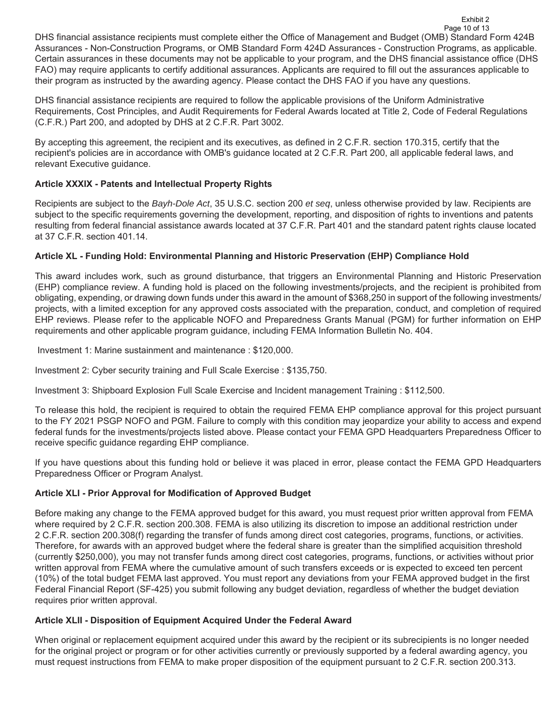DHS financial assistance recipients must complete either the Office of Management and Budget (OMB) Standard Form 424B Assurances - Non-Construction Programs, or OMB Standard Form 424D Assurances - Construction Programs, as applicable. Certain assurances in these documents may not be applicable to your program, and the DHS financial assistance office (DHS FAO) may require applicants to certify additional assurances. Applicants are required to fill out the assurances applicable to their program as instructed by the awarding agency. Please contact the DHS FAO if you have any questions. Page 10 of 13

Exhibit 2

DHS financial assistance recipients are required to follow the applicable provisions of the Uniform Administrative Requirements, Cost Principles, and Audit Requirements for Federal Awards located at Title 2, Code of Federal Regulations (C.F.R.) Part 200, and adopted by DHS at 2 C.F.R. Part 3002.

By accepting this agreement, the recipient and its executives, as defined in 2 C.F.R. section 170.315, certify that the recipient's policies are in accordance with OMB's guidance located at 2 C.F.R. Part 200, all applicable federal laws, and relevant Executive guidance.

# **Article XXXIX - Patents and Intellectual Property Rights**

Recipients are subject to the *Bayh-Dole Act*, 35 U.S.C. section 200 *et seq*, unless otherwise provided by law. Recipients are subject to the specific requirements governing the development, reporting, and disposition of rights to inventions and patents resulting from federal financial assistance awards located at 37 C.F.R. Part 401 and the standard patent rights clause located at 37 C.F.R. section 401.14.

# **Article XL - Funding Hold: Environmental Planning and Historic Preservation (EHP) Compliance Hold**

This award includes work, such as ground disturbance, that triggers an Environmental Planning and Historic Preservation (EHP) compliance review. A funding hold is placed on the following investments/projects, and the recipient is prohibited from obligating, expending, or drawing down funds under this award in the amount of \$368,250 in support of the following investments/ projects, with a limited exception for any approved costs associated with the preparation, conduct, and completion of required EHP reviews. Please refer to the applicable NOFO and Preparedness Grants Manual (PGM) for further information on EHP requirements and other applicable program guidance, including FEMA Information Bulletin No. 404.

Investment 1: Marine sustainment and maintenance : \$120,000.

Investment 2: Cyber security training and Full Scale Exercise : \$135,750.

Investment 3: Shipboard Explosion Full Scale Exercise and Incident management Training : \$112,500.

To release this hold, the recipient is required to obtain the required FEMA EHP compliance approval for this project pursuant to the FY 2021 PSGP NOFO and PGM. Failure to comply with this condition may jeopardize your ability to access and expend federal funds for the investments/projects listed above. Please contact your FEMA GPD Headquarters Preparedness Officer to receive specific guidance regarding EHP compliance.

If you have questions about this funding hold or believe it was placed in error, please contact the FEMA GPD Headquarters Preparedness Officer or Program Analyst.

# **Article XLI - Prior Approval for Modification of Approved Budget**

Before making any change to the FEMA approved budget for this award, you must request prior written approval from FEMA where required by 2 C.F.R. section 200.308. FEMA is also utilizing its discretion to impose an additional restriction under 2 C.F.R. section 200.308(f) regarding the transfer of funds among direct cost categories, programs, functions, or activities. Therefore, for awards with an approved budget where the federal share is greater than the simplified acquisition threshold (currently \$250,000), you may not transfer funds among direct cost categories, programs, functions, or activities without prior written approval from FEMA where the cumulative amount of such transfers exceeds or is expected to exceed ten percent (10%) of the total budget FEMA last approved. You must report any deviations from your FEMA approved budget in the first Federal Financial Report (SF-425) you submit following any budget deviation, regardless of whether the budget deviation requires prior written approval.

# **Article XLII - Disposition of Equipment Acquired Under the Federal Award**

When original or replacement equipment acquired under this award by the recipient or its subrecipients is no longer needed for the original project or program or for other activities currently or previously supported by a federal awarding agency, you must request instructions from FEMA to make proper disposition of the equipment pursuant to 2 C.F.R. section 200.313.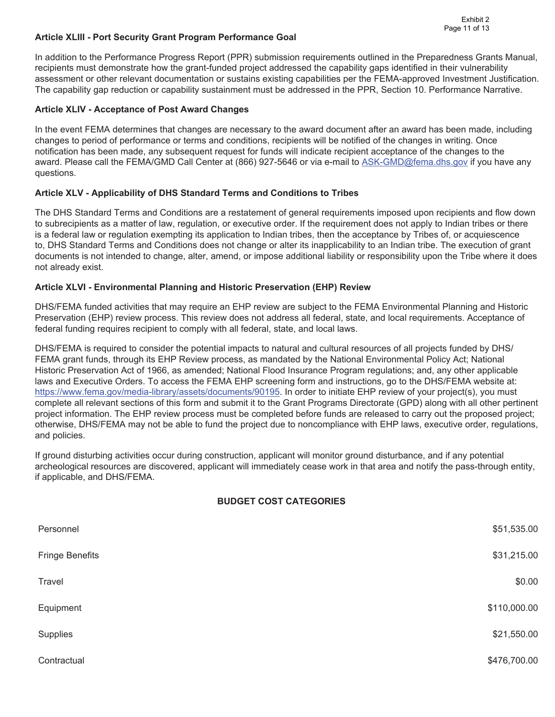#### **Article XLIII - Port Security Grant Program Performance Goal**

In addition to the Performance Progress Report (PPR) submission requirements outlined in the Preparedness Grants Manual, recipients must demonstrate how the grant-funded project addressed the capability gaps identified in their vulnerability assessment or other relevant documentation or sustains existing capabilities per the FEMA-approved Investment Justification. The capability gap reduction or capability sustainment must be addressed in the PPR, Section 10. Performance Narrative.

#### **Article XLIV - Acceptance of Post Award Changes**

In the event FEMA determines that changes are necessary to the award document after an award has been made, including changes to period of performance or terms and conditions, recipients will be notified of the changes in writing. Once notification has been made, any subsequent request for funds will indicate recipient acceptance of the changes to the award. Please call the FEMA/GMD Call Center at (866) 927-5646 or via e-mail to [ASK-GMD@fema.dhs.gov](mailto:ASK-GMD@fema.dhs.gov) if you have any questions.

### **Article XLV - Applicability of DHS Standard Terms and Conditions to Tribes**

The DHS Standard Terms and Conditions are a restatement of general requirements imposed upon recipients and flow down to subrecipients as a matter of law, regulation, or executive order. If the requirement does not apply to Indian tribes or there is a federal law or regulation exempting its application to Indian tribes, then the acceptance by Tribes of, or acquiescence to, DHS Standard Terms and Conditions does not change or alter its inapplicability to an Indian tribe. The execution of grant documents is not intended to change, alter, amend, or impose additional liability or responsibility upon the Tribe where it does not already exist.

#### **Article XLVI - Environmental Planning and Historic Preservation (EHP) Review**

DHS/FEMA funded activities that may require an EHP review are subject to the FEMA Environmental Planning and Historic Preservation (EHP) review process. This review does not address all federal, state, and local requirements. Acceptance of federal funding requires recipient to comply with all federal, state, and local laws.

DHS/FEMA is required to consider the potential impacts to natural and cultural resources of all projects funded by DHS/ FEMA grant funds, through its EHP Review process, as mandated by the National Environmental Policy Act; National Historic Preservation Act of 1966, as amended; National Flood Insurance Program regulations; and, any other applicable laws and Executive Orders. To access the FEMA EHP screening form and instructions, go to the DHS/FEMA website at: [https://www.fema.gov/media-library/assets/documents/90195.](https://www.fema.gov/media-library/assets/documents/90195) In order to initiate EHP review of your project(s), you must complete all relevant sections of this form and submit it to the Grant Programs Directorate (GPD) along with all other pertinent project information. The EHP review process must be completed before funds are released to carry out the proposed project; otherwise, DHS/FEMA may not be able to fund the project due to noncompliance with EHP laws, executive order, regulations, and policies.

If ground disturbing activities occur during construction, applicant will monitor ground disturbance, and if any potential archeological resources are discovered, applicant will immediately cease work in that area and notify the pass-through entity, if applicable, and DHS/FEMA.

### **BUDGET COST CATEGORIES**

| Personnel              | \$51,535.00  |
|------------------------|--------------|
| <b>Fringe Benefits</b> | \$31,215.00  |
| Travel                 | \$0.00       |
| Equipment              | \$110,000.00 |
| Supplies               | \$21,550.00  |
| Contractual            | \$476,700.00 |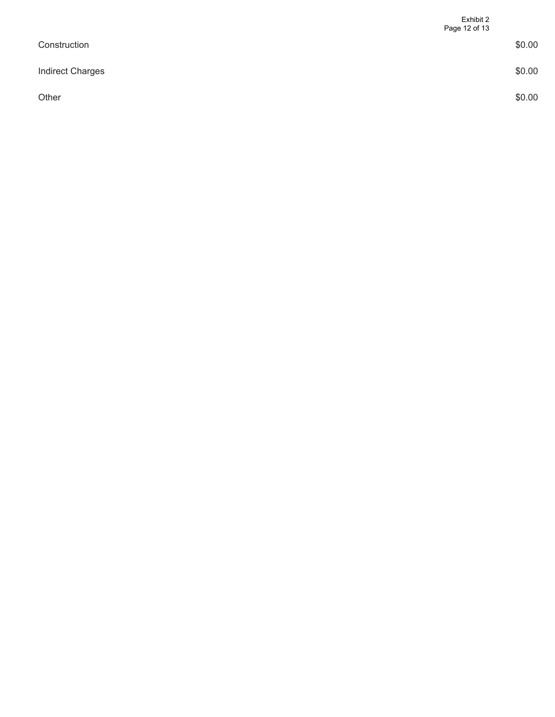|                         | Exhibit 2<br>Page 12 of 13 |
|-------------------------|----------------------------|
| Construction            | \$0.00                     |
| <b>Indirect Charges</b> | \$0.00                     |
| Other                   | \$0.00                     |